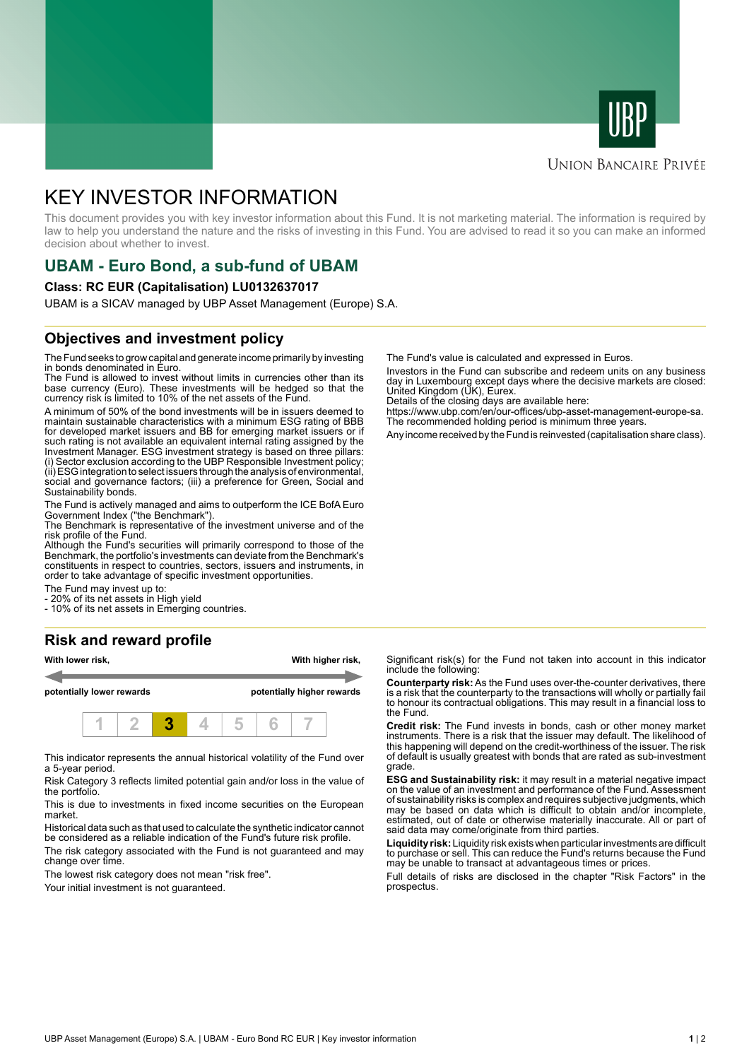



#### **UNION BANCAIRE PRIVÉE**

# KEY INVESTOR INFORMATION

This document provides you with key investor information about this Fund. It is not marketing material. The information is required by law to help you understand the nature and the risks of investing in this Fund. You are advised to read it so you can make an informed decision about whether to invest.

## **UBAM - Euro Bond, a sub-fund of UBAM**

#### **Class: RC EUR (Capitalisation) LU0132637017**

UBAM is a SICAV managed by UBP Asset Management (Europe) S.A.

#### **Objectives and investment policy**

The Fund seeks to grow capital and generate income primarily by investing in bonds denominated in Euro.

The Fund is allowed to invest without limits in currencies other than its base currency (Euro). These investments will be hedged so that the currency risk is limited to 10% of the net assets of the Fund.

A minimum of 50% of the bond investments will be in issuers deemed to maintain sustainable characteristics with a minimum ESG rating of BBB for developed market issuers and BB for emerging market issuers or if such rating is not available an equivalent internal rating assigned by the Investment Manager. ESG investment strategy is based on three pillars: (i) Sector exclusion according to the UBP Responsible Investment policy; (ii) ESG integration to select issuers through the analysis of environmental, social and governance factors; (iii) a preference for Green, Social and Sustainability bonds.

The Fund is actively managed and aims to outperform the ICE BofA Euro Government Index ("the Benchmark").

The Benchmark is representative of the investment universe and of the risk profile of the Fund.

Although the Fund's securities will primarily correspond to those of the Benchmark, the portfolio's investments can deviate from the Benchmark's constituents in respect to countries, sectors, issuers and instruments, in order to take advantage of specific investment opportunities.

The Fund may invest up to:

- 20% of its net assets in High yield

- 10% of its net assets in Emerging countries.

#### **Risk and reward profile**



This indicator represents the annual historical volatility of the Fund over a 5-year period.

Risk Category 3 reflects limited potential gain and/or loss in the value of the portfolio.

This is due to investments in fixed income securities on the European market.

Historical data such as that used to calculate the synthetic indicator cannot be considered as a reliable indication of the Fund's future risk profile. The risk category associated with the Fund is not guaranteed and may change over time.

The lowest risk category does not mean "risk free".

Your initial investment is not quaranteed.

The Fund's value is calculated and expressed in Euros.

Investors in the Fund can subscribe and redeem units on any business day in Luxembourg except days where the decisive markets are closed: United Kingdom (UK), Eurex.

Details of the closing days are available here:

https://www.ubp.com/en/our-offices/ubp-asset-management-europe-sa. The recommended holding period is minimum three years.

Any income received by the Fund is reinvested (capitalisation share class).

Significant risk(s) for the Fund not taken into account in this indicator include the following:

**Counterparty risk:** As the Fund uses over-the-counter derivatives, there is a risk that the counterparty to the transactions will wholly or partially fail to honour its contractual obligations. This may result in a financial loss to the Fund.

**Credit risk:** The Fund invests in bonds, cash or other money market instruments. There is a risk that the issuer may default. The likelihood of this happening will depend on the credit-worthiness of the issuer. The risk of default is usually greatest with bonds that are rated as sub-investment grade.

**ESG and Sustainability risk:** it may result in a material negative impact on the value of an investment and performance of the Fund. Assessment of sustainability risks is complex and requires subjective judgments, which may be based on data which is difficult to obtain and/or incomplete, estimated, out of date or otherwise materially inaccurate. All or part of said data may come/originate from third parties.

**Liquidity risk:** Liquidity risk exists when particular investments are difficult to purchase or sell. This can reduce the Fund's returns because the Fund may be unable to transact at advantageous times or prices.

Full details of risks are disclosed in the chapter "Risk Factors" in the prospectus.